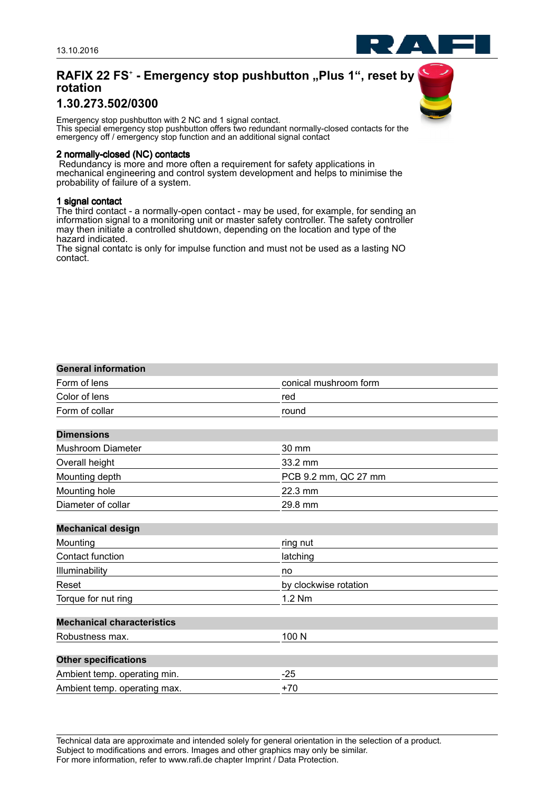# **RAFIX 22 FS**<sup>+</sup>  **- Emergency stop pushbutton "Plus 1", reset by rotation**

## **1.30.273.502/0300**

Emergency stop pushbutton with 2 NC and 1 signal contact. This special emergency stop pushbutton offers two redundant normally-closed contacts for the emergency off / emergency stop function and an additional signal contact

#### **2 normally-closed (NC) contacts**

 Redundancy is more and more often a requirement for safety applications in mechanical engineering and control system development and helps to minimise the probability of failure of a system.

### **1 signal contact**

The third contact - a normally-open contact - may be used, for example, for sending an information signal to a monitoring unit or master safety controller. The safety controller may then initiate a controlled shutdown, depending on the location and type of the hazard indicated.

The signal contatc is only for impulse function and must not be used as a lasting NO contact.

#### **General information**

| Form of lens                      | conical mushroom form |  |
|-----------------------------------|-----------------------|--|
| Color of lens                     | red                   |  |
| Form of collar                    | round                 |  |
| <b>Dimensions</b>                 |                       |  |
| <b>Mushroom Diameter</b>          | 30 mm                 |  |
| Overall height                    | 33.2 mm               |  |
| Mounting depth                    | PCB 9.2 mm, QC 27 mm  |  |
| Mounting hole                     | 22.3 mm               |  |
| Diameter of collar                | 29.8 mm               |  |
| <b>Mechanical design</b>          |                       |  |
| Mounting                          | ring nut              |  |
| Contact function                  | latching              |  |
| Illuminability                    | no                    |  |
| Reset                             | by clockwise rotation |  |
| Torque for nut ring               | 1.2 Nm                |  |
| <b>Mechanical characteristics</b> |                       |  |
| Robustness max.                   | 100 N                 |  |
|                                   |                       |  |
| <b>Other specifications</b>       |                       |  |
| Ambient temp. operating min.      | $-25$                 |  |
| Ambient temp. operating max.      | $+70$                 |  |

Technical data are approximate and intended solely for general orientation in the selection of a product. Subject to modifications and errors. Images and other graphics may only be similar. For more information, refer to www.rafi.de chapter Imprint / Data Protection.